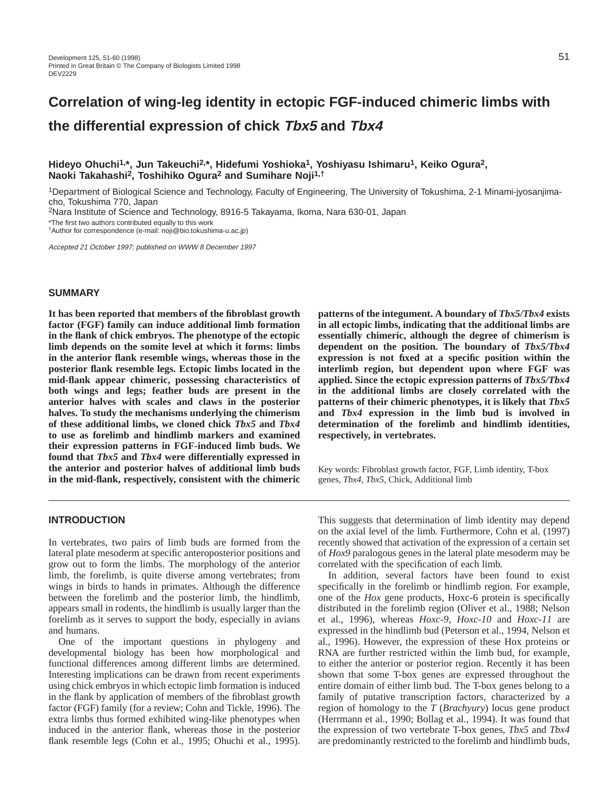# **Correlation of wing-leg identity in ectopic FGF-induced chimeric limbs with the differential expression of chick Tbx5 and Tbx4**

# **Hideyo Ohuchi1,\*, Jun Takeuchi2,\*, Hidefumi Yoshioka1, Yoshiyasu Ishimaru1, Keiko Ogura2, Naoki Takahashi2, Toshihiko Ogura2 and Sumihare Noji1,†**

1Department of Biological Science and Technology, Faculty of Engineering, The University of Tokushima, 2-1 Minami-jyosanjimacho, Tokushima 770, Japan

2Nara Institute of Science and Technology, 8916-5 Takayama, Ikoma, Nara 630-01, Japan

\*The first two authors contributed equally to this work

†Author for correspondence (e-mail: noji@bio.tokushima-u.ac.jp)

Accepted 21 October 1997; published on WWW 8 December 1997

# **SUMMARY**

**It has been reported that members of the fibroblast growth factor (FGF) family can induce additional limb formation in the flank of chick embryos. The phenotype of the ectopic limb depends on the somite level at which it forms: limbs in the anterior flank resemble wings, whereas those in the posterior flank resemble legs. Ectopic limbs located in the mid-flank appear chimeric, possessing characteristics of both wings and legs; feather buds are present in the anterior halves with scales and claws in the posterior halves. To study the mechanisms underlying the chimerism of these additional limbs, we cloned chick** *Tbx5* **and** *Tbx4* **to use as forelimb and hindlimb markers and examined their expression patterns in FGF-induced limb buds. We found that** *Tbx5* **and** *Tbx4* **were differentially expressed in the anterior and posterior halves of additional limb buds in the mid-flank, respectively, consistent with the chimeric**

**patterns of the integument. A boundary of** *Tbx5/Tbx4* **exists in all ectopic limbs, indicating that the additional limbs are essentially chimeric, although the degree of chimerism is dependent on the position. The boundary of** *Tbx5/Tbx4* **expression is not fixed at a specific position within the interlimb region, but dependent upon where FGF was applied. Since the ectopic expression patterns of** *Tbx5/Tbx4* **in the additional limbs are closely correlated with the patterns of their chimeric phenotypes, it is likely that** *Tbx5* **and** *Tbx4* **expression in the limb bud is involved in determination of the forelimb and hindlimb identities, respectively, in vertebrates.**

Key words: Fibroblast growth factor, FGF, Limb identity, T-box genes, *Tbx4*, *Tbx5*, Chick, Additional limb

# **INTRODUCTION**

In vertebrates, two pairs of limb buds are formed from the lateral plate mesoderm at specific anteroposterior positions and grow out to form the limbs. The morphology of the anterior limb, the forelimb, is quite diverse among vertebrates; from wings in birds to hands in primates. Although the difference between the forelimb and the posterior limb, the hindlimb, appears small in rodents, the hindlimb is usually larger than the forelimb as it serves to support the body, especially in avians and humans.

One of the important questions in phylogeny and developmental biology has been how morphological and functional differences among different limbs are determined. Interesting implications can be drawn from recent experiments using chick embryos in which ectopic limb formation is induced in the flank by application of members of the fibroblast growth factor (FGF) family (for a review; Cohn and Tickle, 1996). The extra limbs thus formed exhibited wing-like phenotypes when induced in the anterior flank, whereas those in the posterior flank resemble legs (Cohn et al., 1995; Ohuchi et al., 1995). This suggests that determination of limb identity may depend on the axial level of the limb. Furthermore, Cohn et al. (1997) recently showed that activation of the expression of a certain set of *Hox9* paralogous genes in the lateral plate mesoderm may be correlated with the specification of each limb.

In addition, several factors have been found to exist specifically in the forelimb or hindlimb region. For example, one of the *Hox* gene products, Hoxc-6 protein is specifically distributed in the forelimb region (Oliver et al., 1988; Nelson et al., 1996), whereas *Hoxc-9, Hoxc-10* and *Hoxc-11* are expressed in the hindlimb bud (Peterson et al., 1994, Nelson et al., 1996). However, the expression of these Hox proteins or RNA are further restricted within the limb bud, for example, to either the anterior or posterior region. Recently it has been shown that some T-box genes are expressed throughout the entire domain of either limb bud. The T-box genes belong to a family of putative transcription factors, characterized by a region of homology to the *T* (*Brachyury*) locus gene product (Herrmann et al., 1990; Bollag et al., 1994). It was found that the expression of two vertebrate T-box genes, *Tbx5* and *Tbx4* are predominantly restricted to the forelimb and hindlimb buds,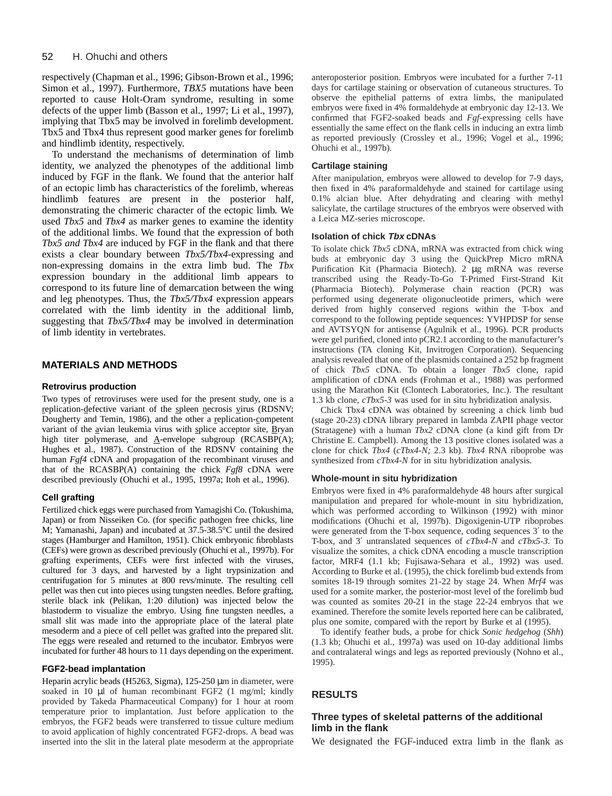respectively (Chapman et al., 1996; Gibson-Brown et al., 1996; Simon et al., 1997). Furthermore, *TBX5* mutations have been reported to cause Holt-Oram syndrome, resulting in some defects of the upper limb (Basson et al., 1997; Li et al., 1997), implying that Tbx5 may be involved in forelimb development. Tbx5 and Tbx4 thus represent good marker genes for forelimb and hindlimb identity, respectively.

To understand the mechanisms of determination of limb identity, we analyzed the phenotypes of the additional limb induced by FGF in the flank. We found that the anterior half of an ectopic limb has characteristics of the forelimb, whereas hindlimb features are present in the posterior half, demonstrating the chimeric character of the ectopic limb. We used *Tbx5* and *Tbx4* as marker genes to examine the identity of the additional limbs. We found that the expression of both *Tbx5 and Tbx4* are induced by FGF in the flank and that there exists a clear boundary between *Tbx5/Tbx4-*expressing and non-expressing domains in the extra limb bud. The *Tbx* expression boundary in the additional limb appears to correspond to its future line of demarcation between the wing and leg phenotypes. Thus, the *Tbx5/Tbx4* expression appears correlated with the limb identity in the additional limb, suggesting that *Tbx5/Tbx4* may be involved in determination of limb identity in vertebrates.

# **MATERIALS AND METHODS**

### **Retrovirus production**

Two types of retroviruses were used for the present study, one is a replication-defective variant of the spleen necrosis virus (RDSNV; Dougherty and Temin, 1986), and the other a replication-competent variant of the avian leukemia virus with splice acceptor site, Bryan high titer polymerase, and  $\underline{A}$ -envelope subgroup (RCASBP(A); Hughes et al., 1987). Construction of the RDSNV containing the human *Fgf4* cDNA and propagation of the recombinant viruses and that of the RCASBP(A) containing the chick *Fgf8* cDNA were described previously (Ohuchi et al., 1995, 1997a; Itoh et al., 1996).

# **Cell grafting**

Fertilized chick eggs were purchased from Yamagishi Co. (Tokushima, Japan) or from Nisseiken Co. (for specific pathogen free chicks, line M; Yamanashi, Japan) and incubated at 37.5-38.5°C until the desired stages (Hamburger and Hamilton, 1951). Chick embryonic fibroblasts (CEFs) were grown as described previously (Ohuchi et al., 1997b). For grafting experiments, CEFs were first infected with the viruses, cultured for 3 days, and harvested by a light trypsinization and centrifugation for 5 minutes at 800 revs/minute. The resulting cell pellet was then cut into pieces using tungsten needles. Before grafting, sterile black ink (Pelikan, 1:20 dilution) was injected below the blastoderm to visualize the embryo. Using fine tungsten needles, a small slit was made into the appropriate place of the lateral plate mesoderm and a piece of cell pellet was grafted into the prepared slit. The eggs were resealed and returned to the incubator. Embryos were incubated for further 48 hours to 11 days depending on the experiment.

#### **FGF2-bead implantation**

Heparin acrylic beads (H5263, Sigma), 125-250 µm in diameter, were soaked in 10 µl of human recombinant FGF2 (1 mg/ml; kindly provided by Takeda Pharmaceutical Company) for 1 hour at room temperature prior to implantation. Just before application to the embryos, the FGF2 beads were transferred to tissue culture medium to avoid application of highly concentrated FGF2-drops. A bead was inserted into the slit in the lateral plate mesoderm at the appropriate anteroposterior position. Embryos were incubated for a further 7-11 days for cartilage staining or observation of cutaneous structures. To observe the epithelial patterns of extra limbs, the manipulated embryos were fixed in 4% formaldehyde at embryonic day 12-13. We confirmed that FGF2-soaked beads and *Fgf-*expressing cells have essentially the same effect on the flank cells in inducing an extra limb as reported previously (Crossley et al., 1996; Vogel et al., 1996; Ohuchi et al., 1997b).

### **Cartilage staining**

After manipulation, embryos were allowed to develop for 7-9 days, then fixed in 4% paraformaldehyde and stained for cartilage using 0.1% alcian blue. After dehydrating and clearing with methyl salicylate, the cartilage structures of the embryos were observed with a Leica MZ-series microscope.

### **Isolation of chick Tbx cDNAs**

To isolate chick *Tbx5* cDNA, mRNA was extracted from chick wing buds at embryonic day 3 using the QuickPrep Micro mRNA Purification Kit (Pharmacia Biotech). 2 µg mRNA was reverse transcribed using the Ready-To-Go T-Primed First-Strand Kit (Pharmacia Biotech). Polymerase chain reaction (PCR) was performed using degenerate oligonucleotide primers, which were derived from highly conserved regions within the T-box and correspond to the following peptide sequences: YVHPDSP for sense and AVTSYQN for antisense (Agulnik et al., 1996). PCR products were gel purified, cloned into pCR2.1 according to the manufacturer's instructions (TA cloning Kit, Invitrogen Corporation). Sequencing analysis revealed that one of the plasmids contained a 252 bp fragment of chick *Tbx5* cDNA. To obtain a longer *Tbx5* clone, rapid amplification of cDNA ends (Frohman et al., 1988) was performed using the Marathon Kit (Clontech Laboratories, Inc.). The resultant 1.3 kb clone, *cTbx5-3* was used for in situ hybridization analysis.

Chick Tbx4 cDNA was obtained by screening a chick limb bud (stage 20-23) cDNA library prepared in lambda ZAPII phage vector (Stratagene) with a human *Tbx2* cDNA clone (a kind gift from Dr Christine E. Campbell). Among the 13 positive clones isolated was a clone for chick *Tbx4* (*cTbx4-N;* 2.3 kb). *Tbx4* RNA riboprobe was synthesized from *cTbx4-N* for in situ hybridization analysis.

#### **Whole-mount in situ hybridization**

Embryos were fixed in 4% paraformaldehyde 48 hours after surgical manipulation and prepared for whole-mount in situ hybridization, which was performed according to Wilkinson (1992) with minor modifications (Ohuchi et al, 1997b). Digoxigenin-UTP riboprobes were generated from the T-box sequence, coding sequences 3′ to the T-box, and 3′ untranslated sequences of *cTbx4-N* and *cTbx5-3*. To visualize the somites, a chick cDNA encoding a muscle transcription factor, MRF4 (1.1 kb; Fujisawa-Sehara et al., 1992) was used. According to Burke et al. (1995), the chick forelimb bud extends from somites 18-19 through somites 21-22 by stage 24. When *Mrf4* was used for a somite marker, the posterior-most level of the forelimb bud was counted as somites 20-21 in the stage 22-24 embryos that we examined. Therefore the somite levels reported here can be calibrated, plus one somite, compared with the report by Burke et al (1995).

To identify feather buds, a probe for chick *Sonic hedgehog* (*Shh*) (1.3 kb; Ohuchi et al., 1997a) was used on 10-day additional limbs and contralateral wings and legs as reported previously (Nohno et al., 1995).

# **RESULTS**

# **Three types of skeletal patterns of the additional limb in the flank**

We designated the FGF-induced extra limb in the flank as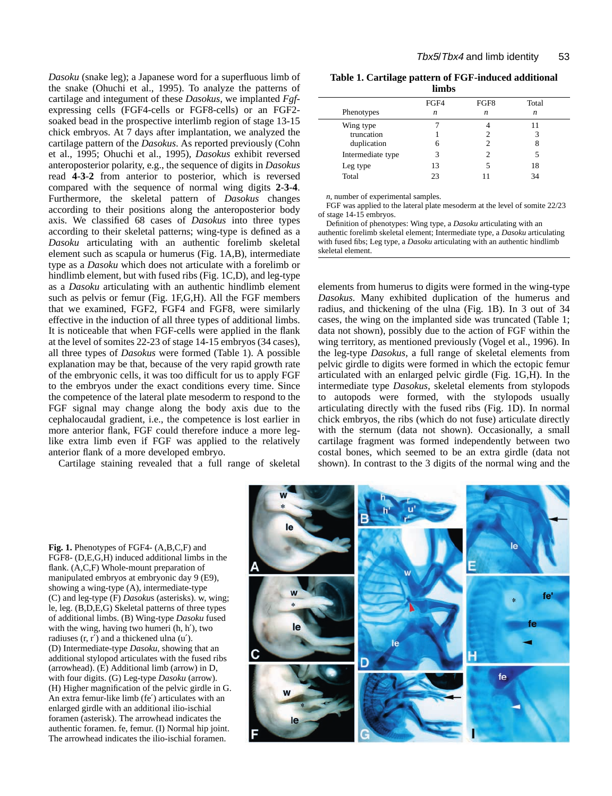*Dasoku* (snake leg); a Japanese word for a superfluous limb of the snake (Ohuchi et al., 1995). To analyze the patterns of cartilage and integument of these *Dasokus*, we implanted *Fgf*expressing cells (FGF4-cells or FGF8-cells) or an FGF2 soaked bead in the prospective interlimb region of stage 13-15 chick embryos. At 7 days after implantation, we analyzed the cartilage pattern of the *Dasokus*. As reported previously (Cohn et al., 1995; Ohuchi et al., 1995), *Dasokus* exhibit reversed anteroposterior polarity, e.g., the sequence of digits in *Dasokus* read **4**-**3**-**2** from anterior to posterior, which is reversed compared with the sequence of normal wing digits **2**-**3**-**4**. Furthermore, the skeletal pattern of *Dasokus* changes according to their positions along the anteroposterior body axis. We classified 68 cases of *Dasokus* into three types according to their skeletal patterns; wing-type is defined as a *Dasoku* articulating with an authentic forelimb skeletal element such as scapula or humerus (Fig. 1A,B), intermediate type as a *Dasoku* which does not articulate with a forelimb or hindlimb element, but with fused ribs (Fig. 1C,D), and leg-type as a *Dasoku* articulating with an authentic hindlimb element such as pelvis or femur (Fig. 1F,G,H). All the FGF members that we examined, FGF2, FGF4 and FGF8, were similarly effective in the induction of all three types of additional limbs. It is noticeable that when FGF-cells were applied in the flank at the level of somites 22-23 of stage 14-15 embryos (34 cases), all three types of *Dasokus* were formed (Table 1). A possible explanation may be that, because of the very rapid growth rate of the embryonic cells, it was too difficult for us to apply FGF to the embryos under the exact conditions every time. Since the competence of the lateral plate mesoderm to respond to the FGF signal may change along the body axis due to the cephalocaudal gradient, i.e., the competence is lost earlier in more anterior flank, FGF could therefore induce a more leglike extra limb even if FGF was applied to the relatively anterior flank of a more developed embryo.

Cartilage staining revealed that a full range of skeletal

| Table 1. Cartilage pattern of FGF-induced additional |
|------------------------------------------------------|
| limbs                                                |

|                                        | FGF4 | FGF8             | Total |
|----------------------------------------|------|------------------|-------|
| Phenotypes                             | n    | $\boldsymbol{n}$ | n     |
| Wing type<br>truncation<br>duplication |      |                  |       |
|                                        |      |                  |       |
|                                        |      |                  |       |
| Intermediate type                      | 3    |                  |       |
| Leg type                               | 13   |                  | 18    |
| Total                                  | つっ   |                  | 34    |
|                                        |      |                  |       |

*n*, number of experimental samples.

FGF was applied to the lateral plate mesoderm at the level of somite 22/23 of stage 14-15 embryos.

Definition of phenotypes: Wing type, a *Dasoku* articulating with an authentic forelimb skeletal element; Intermediate type, a *Dasoku* articulating with fused fibs; Leg type, a *Dasoku* articulating with an authentic hindlimb skeletal element.

elements from humerus to digits were formed in the wing-type *Dasokus.* Many exhibited duplication of the humerus and radius, and thickening of the ulna (Fig. 1B). In 3 out of 34 cases, the wing on the implanted side was truncated (Table 1; data not shown), possibly due to the action of FGF within the wing territory, as mentioned previously (Vogel et al., 1996). In the leg-type *Dasokus*, a full range of skeletal elements from pelvic girdle to digits were formed in which the ectopic femur articulated with an enlarged pelvic girdle (Fig. 1G,H). In the intermediate type *Dasokus*, skeletal elements from stylopods to autopods were formed, with the stylopods usually articulating directly with the fused ribs (Fig. 1D). In normal chick embryos, the ribs (which do not fuse) articulate directly with the sternum (data not shown). Occasionally, a small cartilage fragment was formed independently between two costal bones, which seemed to be an extra girdle (data not shown). In contrast to the 3 digits of the normal wing and the



**Fig. 1.** Phenotypes of FGF4- (A,B,C,F) and FGF8- (D,E,G,H) induced additional limbs in the flank. (A,C,F) Whole-mount preparation of manipulated embryos at embryonic day 9 (E9), showing a wing-type (A), intermediate-type (C) and leg-type (F) *Dasoku*s (asterisks). w, wing; le, leg. (B,D,E,G) Skeletal patterns of three types of additional limbs. (B) Wing-type *Dasoku* fused with the wing, having two humeri (h, h′), two radiuses  $(r, r')$  and a thickened ulna  $(u')$ . (D) Intermediate-type *Dasoku*, showing that an additional stylopod articulates with the fused ribs (arrowhead). (E) Additional limb (arrow) in D, with four digits. (G) Leg-type *Dasoku* (arrow). (H) Higher magnification of the pelvic girdle in G. An extra femur-like limb (fe′) articulates with an enlarged girdle with an additional ilio-ischial foramen (asterisk). The arrowhead indicates the authentic foramen. fe, femur. (I) Normal hip joint. The arrowhead indicates the ilio-ischial foramen.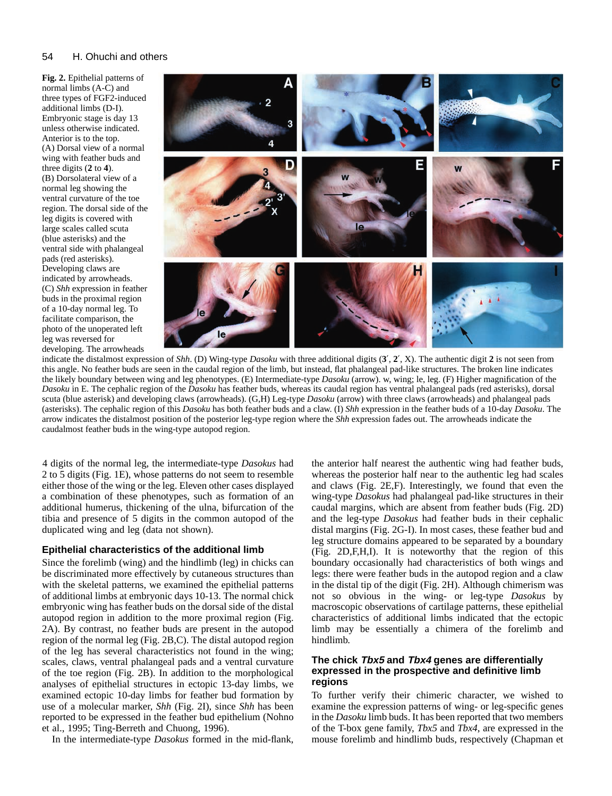#### 54 H. Ohuchi and others

**Fig. 2.** Epithelial patterns of normal limbs (A-C) and three types of FGF2-induced additional limbs (D-I). Embryonic stage is day 13 unless otherwise indicated. Anterior is to the top. (A) Dorsal view of a normal wing with feather buds and three digits (**2** to **4**). (B) Dorsolateral view of a normal leg showing the ventral curvature of the toe region. The dorsal side of the leg digits is covered with large scales called scuta (blue asterisks) and the ventral side with phalangeal pads (red asterisks). Developing claws are indicated by arrowheads. (C) *Shh* expression in feather buds in the proximal region of a 10-day normal leg. To facilitate comparison, the photo of the unoperated left leg was reversed for developing. The arrowheads



indicate the distalmost expression of *Shh*. (D) Wing-type *Dasoku* with three additional digits (**3**′, **2**′, X). The authentic digit **2** is not seen from this angle. No feather buds are seen in the caudal region of the limb, but instead, flat phalangeal pad-like structures. The broken line indicates the likely boundary between wing and leg phenotypes. (E) Intermediate-type *Dasoku* (arrow). w, wing; le, leg. (F) Higher magnification of the *Dasoku* in E. The cephalic region of the *Dasoku* has feather buds, whereas its caudal region has ventral phalangeal pads (red asterisks), dorsal scuta (blue asterisk) and developing claws (arrowheads). (G,H) Leg-type *Dasoku* (arrow) with three claws (arrowheads) and phalangeal pads (asterisks). The cephalic region of this *Dasoku* has both feather buds and a claw. (I) *Shh* expression in the feather buds of a 10-day *Dasoku*. The arrow indicates the distalmost position of the posterior leg-type region where the *Shh* expression fades out. The arrowheads indicate the caudalmost feather buds in the wing-type autopod region.

4 digits of the normal leg, the intermediate-type *Dasokus* had 2 to 5 digits (Fig. 1E), whose patterns do not seem to resemble either those of the wing or the leg. Eleven other cases displayed a combination of these phenotypes, such as formation of an additional humerus, thickening of the ulna, bifurcation of the tibia and presence of 5 digits in the common autopod of the duplicated wing and leg (data not shown).

# **Epithelial characteristics of the additional limb**

Since the forelimb (wing) and the hindlimb (leg) in chicks can be discriminated more effectively by cutaneous structures than with the skeletal patterns, we examined the epithelial patterns of additional limbs at embryonic days 10-13. The normal chick embryonic wing has feather buds on the dorsal side of the distal autopod region in addition to the more proximal region (Fig. 2A). By contrast, no feather buds are present in the autopod region of the normal leg (Fig. 2B,C). The distal autopod region of the leg has several characteristics not found in the wing; scales, claws, ventral phalangeal pads and a ventral curvature of the toe region (Fig. 2B). In addition to the morphological analyses of epithelial structures in ectopic 13-day limbs, we examined ectopic 10-day limbs for feather bud formation by use of a molecular marker, *Shh* (Fig. 2I), since *Shh* has been reported to be expressed in the feather bud epithelium (Nohno et al., 1995; Ting-Berreth and Chuong, 1996).

In the intermediate-type *Dasokus* formed in the mid-flank,

the anterior half nearest the authentic wing had feather buds, whereas the posterior half near to the authentic leg had scales and claws (Fig. 2E,F). Interestingly, we found that even the wing-type *Dasokus* had phalangeal pad-like structures in their caudal margins, which are absent from feather buds (Fig. 2D) and the leg-type *Dasokus* had feather buds in their cephalic distal margins (Fig. 2G-I). In most cases, these feather bud and leg structure domains appeared to be separated by a boundary (Fig. 2D,F,H,I). It is noteworthy that the region of this boundary occasionally had characteristics of both wings and legs: there were feather buds in the autopod region and a claw in the distal tip of the digit (Fig. 2H). Although chimerism was not so obvious in the wing- or leg-type *Dasokus* by macroscopic observations of cartilage patterns, these epithelial characteristics of additional limbs indicated that the ectopic limb may be essentially a chimera of the forelimb and hindlimb.

# **The chick Tbx5 and Tbx4 genes are differentially expressed in the prospective and definitive limb regions**

To further verify their chimeric character, we wished to examine the expression patterns of wing- or leg-specific genes in the *Dasoku* limb buds. It has been reported that two members of the T-box gene family, *Tbx5* and *Tbx4*, are expressed in the mouse forelimb and hindlimb buds, respectively (Chapman et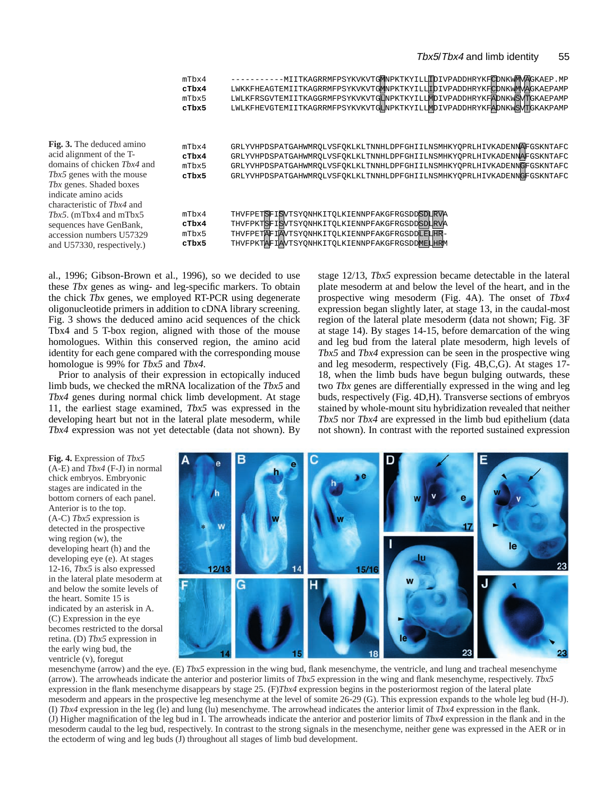|                                                                                                                                                                                                           | mTbx4<br>cTbx4<br>mTbx5<br>cTbx5 | -MIITKAGRRMFPSYKVKVTGMNPKTKYILLIDIVPADDHRYKFCDNKWMMAGKAEP.MP<br>LWKKFHEAGTEMIITKAGRRMFPSYKVKVTGMNPKTKYILLIDIVPADDHRYKFCDNKWMVAGKAEPAMP<br>LWLKFRSGVTEMIITKAGGRMFPSYKVKVTGLMPKTKYILLMDIVPADDHRYKFADNKWSVTGKAEPAMP<br>LWLKFHEVGTEMIITKAGRRMFPSYKVKVTGLNPKTKYILLMDIVPADDHRYKFADNKWSVTGKAKPAMP           |
|-----------------------------------------------------------------------------------------------------------------------------------------------------------------------------------------------------------|----------------------------------|------------------------------------------------------------------------------------------------------------------------------------------------------------------------------------------------------------------------------------------------------------------------------------------------------|
| <b>Fig. 3.</b> The deduced amino<br>acid alignment of the T-<br>domains of chicken Tbx4 and<br>Tbx5 genes with the mouse<br>Tbx genes. Shaded boxes<br>indicate amino acids<br>characteristic of Thx4 and | mTbx4<br>cTbx4<br>mTbx5<br>cTbx5 | GRLYVHPDSPATGAHWMROLVSFOKLKLTNNHLDPFGHIILNSMHKYOPRLHIVKADENNAFGSKNTAFC<br>GRLYVHPDSPATGAHWMROLVSFOKLKLTNNHLDPFGHIILNSMHKYOPRLHIVKADENNAFGSKNTAFC<br>GRLYVHPDSPATGAHWMROLVSFOKLKLTNNHLDPFGHIILNSMHKYOPRLHIVKADENNGFGSKNTAFC<br>GRLYVHPDSPATGAHWMROLVSFOKLKLTNNHLDPFGHIILNSMHKYOPRLHIVKADENNGFGSKNTAFC |
| Tbx5. (mTbx4 and mTbx5<br>sequences have GenBank,<br>accession numbers U57329<br>and U57330, respectively.)                                                                                               | mTbx4<br>cTbx4<br>mTbx5<br>cTbx5 | THVFPETSFISVTSYONHKITOLKIENNPFAKGFRGSDDSDLRVA<br>THVFPKTSFISWTSYONHKITOLKIENNPFAKGFRGSDDSDLRVA<br>THVFPETAFIAVTSYONHKITOLKIENNPFAKGFRGSDDLELHR-<br>THVFPKTAFIAVTSYONHKITOLKIENNPFAKGFRGSDDMELHRM                                                                                                     |

al., 1996; Gibson-Brown et al., 1996), so we decided to use these *Tbx* genes as wing- and leg-specific markers. To obtain the chick *Tbx* genes, we employed RT-PCR using degenerate oligonucleotide primers in addition to cDNA library screening. Fig. 3 shows the deduced amino acid sequences of the chick Tbx4 and 5 T-box region, aligned with those of the mouse homologues. Within this conserved region, the amino acid identity for each gene compared with the corresponding mouse homologue is 99% for *Tbx5* and *Tbx4*.

Prior to analysis of their expression in ectopically induced limb buds, we checked the mRNA localization of the *Tbx5* and *Tbx4* genes during normal chick limb development. At stage 11, the earliest stage examined, *Tbx5* was expressed in the developing heart but not in the lateral plate mesoderm, while *Tbx4* expression was not yet detectable (data not shown). By

stage 12/13, *Tbx5* expression became detectable in the lateral plate mesoderm at and below the level of the heart, and in the prospective wing mesoderm (Fig. 4A). The onset of *Tbx4* expression began slightly later, at stage 13, in the caudal-most region of the lateral plate mesoderm (data not shown; Fig. 3F at stage 14). By stages 14-15, before demarcation of the wing and leg bud from the lateral plate mesoderm, high levels of *Tbx5* and *Tbx4* expression can be seen in the prospective wing and leg mesoderm, respectively (Fig. 4B,C,G). At stages 17- 18, when the limb buds have begun bulging outwards, these two *Tbx* genes are differentially expressed in the wing and leg buds, respectively (Fig. 4D,H). Transverse sections of embryos stained by whole-mount situ hybridization revealed that neither *Tbx5* nor *Tbx4* are expressed in the limb bud epithelium (data not shown). In contrast with the reported sustained expression

**Fig. 4.** Expression of *Tbx5* (A-E) and *Tbx4* (F-J) in normal chick embryos. Embryonic stages are indicated in the bottom corners of each panel. Anterior is to the top. (A-C) *Tbx5* expression is detected in the prospective wing region (w), the developing heart (h) and the developing eye (e). At stages 12-16, *Tbx5* is also expressed in the lateral plate mesoderm at and below the somite levels of the heart. Somite 15 is indicated by an asterisk in A. (C) Expression in the eye becomes restricted to the dorsal retina. (D) *Tbx5* expression in the early wing bud, the ventricle (v), foregut



mesenchyme (arrow) and the eye. (E) *Tbx5* expression in the wing bud, flank mesenchyme, the ventricle, and lung and tracheal mesenchyme (arrow). The arrowheads indicate the anterior and posterior limits of *Tbx5* expression in the wing and flank mesenchyme, respectively. *Tbx5* expression in the flank mesenchyme disappears by stage 25. (F)*Tbx4* expression begins in the posteriormost region of the lateral plate mesoderm and appears in the prospective leg mesenchyme at the level of somite 26-29 (G). This expression expands to the whole leg bud (H-J). (I) *Tbx4* expression in the leg (le) and lung (lu) mesenchyme. The arrowhead indicates the anterior limit of *Tbx4* expression in the flank. (J) Higher magnification of the leg bud in I. The arrowheads indicate the anterior and posterior limits of *Tbx4* expression in the flank and in the mesoderm caudal to the leg bud, respectively. In contrast to the strong signals in the mesenchyme, neither gene was expressed in the AER or in the ectoderm of wing and leg buds (J) throughout all stages of limb bud development.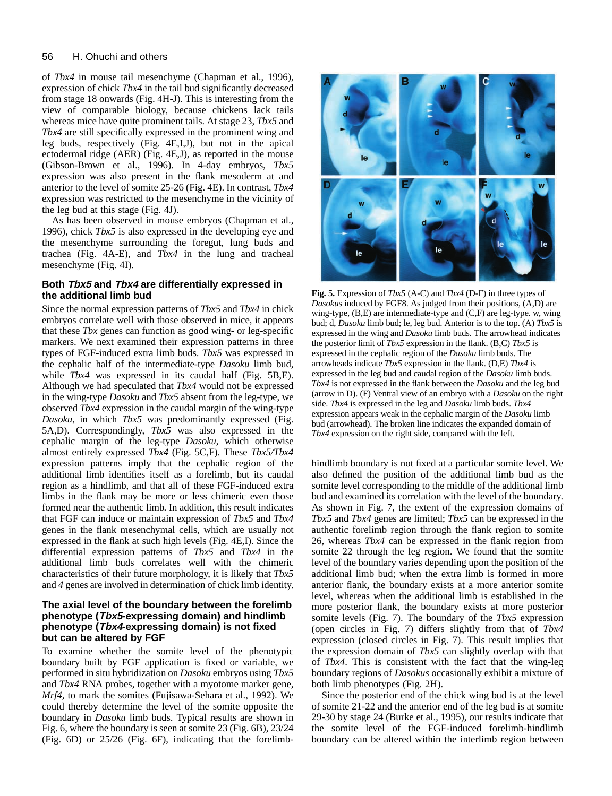#### 56 H. Ohuchi and others

of *Tbx4* in mouse tail mesenchyme (Chapman et al., 1996), expression of chick *Tbx4* in the tail bud significantly decreased from stage 18 onwards (Fig. 4H-J). This is interesting from the view of comparable biology, because chickens lack tails whereas mice have quite prominent tails. At stage 23, *Tbx5* and *Tbx4* are still specifically expressed in the prominent wing and leg buds, respectively (Fig. 4E,I,J), but not in the apical ectodermal ridge (AER) (Fig. 4E,J), as reported in the mouse (Gibson-Brown et al., 1996). In 4-day embryos, *Tbx5* expression was also present in the flank mesoderm at and anterior to the level of somite 25-26 (Fig. 4E). In contrast, *Tbx4* expression was restricted to the mesenchyme in the vicinity of the leg bud at this stage (Fig. 4J).

As has been observed in mouse embryos (Chapman et al., 1996), chick *Tbx5* is also expressed in the developing eye and the mesenchyme surrounding the foregut, lung buds and trachea (Fig. 4A-E), and *Tbx4* in the lung and tracheal mesenchyme (Fig. 4I).

# **Both Tbx5 and Tbx4 are differentially expressed in the additional limb bud**

Since the normal expression patterns of *Tbx5* and *Tbx4* in chick embryos correlate well with those observed in mice, it appears that these *Tbx* genes can function as good wing- or leg-specific markers. We next examined their expression patterns in three types of FGF-induced extra limb buds. *Tbx5* was expressed in the cephalic half of the intermediate-type *Dasoku* limb bud, while *Tbx4* was expressed in its caudal half (Fig. 5B,E). Although we had speculated that *Tbx4* would not be expressed in the wing-type *Dasoku* and *Tbx5* absent from the leg-type, we observed *Tbx4* expression in the caudal margin of the wing-type *Dasoku*, in which *Tbx5* was predominantly expressed (Fig. 5A,D). Correspondingly, *Tbx5* was also expressed in the cephalic margin of the leg-type *Dasoku*, which otherwise almost entirely expressed *Tbx4* (Fig. 5C,F). These *Tbx5/Tbx4* expression patterns imply that the cephalic region of the additional limb identifies itself as a forelimb, but its caudal region as a hindlimb, and that all of these FGF-induced extra limbs in the flank may be more or less chimeric even those formed near the authentic limb. In addition, this result indicates that FGF can induce or maintain expression of *Tbx5* and *Tbx4* genes in the flank mesenchymal cells, which are usually not expressed in the flank at such high levels (Fig. 4E,I). Since the differential expression patterns of *Tbx5* and *Tbx4* in the additional limb buds correlates well with the chimeric characteristics of their future morphology, it is likely that *Tbx5* and *4* genes are involved in determination of chick limb identity.

# **The axial level of the boundary between the forelimb phenotype (Tbx5-expressing domain) and hindlimb phenotype (Tbx4-expressing domain) is not fixed but can be altered by FGF**

To examine whether the somite level of the phenotypic boundary built by FGF application is fixed or variable, we performed in situ hybridization on *Dasoku* embryos using *Tbx5* and *Tbx4* RNA probes, together with a myotome marker gene, *Mrf4,* to mark the somites (Fujisawa-Sehara et al., 1992). We could thereby determine the level of the somite opposite the boundary in *Dasoku* limb buds. Typical results are shown in Fig. 6, where the boundary is seen at somite 23 (Fig. 6B), 23/24 (Fig. 6D) or 25/26 (Fig. 6F), indicating that the forelimb-



**Fig. 5.** Expression of *Tbx5* (A-C) and *Tbx4* (D-F) in three types of *Dasoku*s induced by FGF8. As judged from their positions, (A,D) are wing-type, (B,E) are intermediate-type and (C,F) are leg-type. w, wing bud; d, *Dasoku* limb bud; le, leg bud. Anterior is to the top. (A) *Tbx5* is expressed in the wing and *Dasoku* limb buds. The arrowhead indicates the posterior limit of *Tbx5* expression in the flank. (B,C) *Tbx5* is expressed in the cephalic region of the *Dasoku* limb buds. The arrowheads indicate *Tbx5* expression in the flank. (D,E) *Tbx4* is expressed in the leg bud and caudal region of the *Dasoku* limb buds. *Tbx4* is not expressed in the flank between the *Dasoku* and the leg bud (arrow in D). (F) Ventral view of an embryo with a *Dasoku* on the right side. *Tbx4* is expressed in the leg and *Dasoku* limb buds. *Tbx4* expression appears weak in the cephalic margin of the *Dasoku* limb bud (arrowhead). The broken line indicates the expanded domain of *Tbx4* expression on the right side, compared with the left.

hindlimb boundary is not fixed at a particular somite level. We also defined the position of the additional limb bud as the somite level corresponding to the middle of the additional limb bud and examined its correlation with the level of the boundary. As shown in Fig. 7, the extent of the expression domains of *Tbx5* and *Tbx4* genes are limited; *Tbx5* can be expressed in the authentic forelimb region through the flank region to somite 26, whereas *Tbx4* can be expressed in the flank region from somite 22 through the leg region. We found that the somite level of the boundary varies depending upon the position of the additional limb bud; when the extra limb is formed in more anterior flank, the boundary exists at a more anterior somite level, whereas when the additional limb is established in the more posterior flank, the boundary exists at more posterior somite levels (Fig. 7). The boundary of the *Tbx5* expression (open circles in Fig. 7) differs slightly from that of *Tbx4* expression (closed circles in Fig. 7). This result implies that the expression domain of *Tbx5* can slightly overlap with that of *Tbx4*. This is consistent with the fact that the wing-leg boundary regions of *Dasokus* occasionally exhibit a mixture of both limb phenotypes (Fig. 2H).

Since the posterior end of the chick wing bud is at the level of somite 21-22 and the anterior end of the leg bud is at somite 29-30 by stage 24 (Burke et al., 1995), our results indicate that the somite level of the FGF-induced forelimb-hindlimb boundary can be altered within the interlimb region between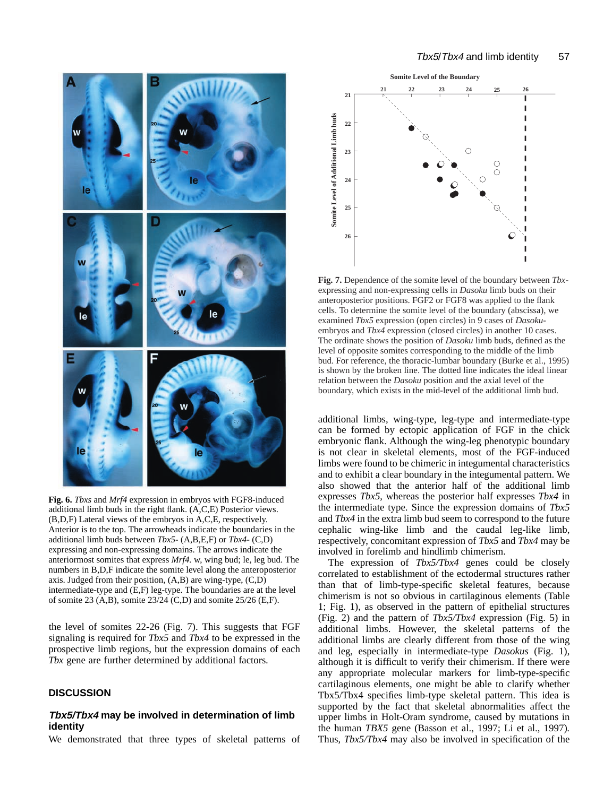

**Fig. 6.** *Tbxs* and *Mrf4* expression in embryos with FGF8-induced additional limb buds in the right flank. (A,C,E) Posterior views. (B,D,F) Lateral views of the embryos in A,C,E, respectively. Anterior is to the top. The arrowheads indicate the boundaries in the additional limb buds between *Tbx5*- (A,B,E,F) or *Tbx4*- (C,D) expressing and non-expressing domains. The arrows indicate the anteriormost somites that express *Mrf4.* w, wing bud; le, leg bud. The numbers in B,D,F indicate the somite level along the anteroposterior axis. Judged from their position, (A,B) are wing-type, (C,D) intermediate-type and (E,F) leg-type. The boundaries are at the level of somite 23 (A,B), somite 23/24 (C,D) and somite 25/26 (E,F).

the level of somites 22-26 (Fig. 7). This suggests that FGF signaling is required for *Tbx5* and *Tbx4* to be expressed in the prospective limb regions, but the expression domains of each *Tbx* gene are further determined by additional factors*.*

#### **DISCUSSION**

### **Tbx5/Tbx4 may be involved in determination of limb identity**

We demonstrated that three types of skeletal patterns of



**Fig. 7.** Dependence of the somite level of the boundary between *Tbx*expressing and non-expressing cells in *Dasoku* limb buds on their anteroposterior positions. FGF2 or FGF8 was applied to the flank cells. To determine the somite level of the boundary (abscissa), we examined *Tbx5* expression (open circles) in 9 cases of *Dasoku*embryos and *Tbx4* expression (closed circles) in another 10 cases. The ordinate shows the position of *Dasoku* limb buds, defined as the level of opposite somites corresponding to the middle of the limb bud. For reference, the thoracic-lumbar boundary (Burke et al., 1995) is shown by the broken line. The dotted line indicates the ideal linear relation between the *Dasoku* position and the axial level of the boundary, which exists in the mid-level of the additional limb bud.

additional limbs, wing-type, leg-type and intermediate-type can be formed by ectopic application of FGF in the chick embryonic flank. Although the wing-leg phenotypic boundary is not clear in skeletal elements, most of the FGF-induced limbs were found to be chimeric in integumental characteristics and to exhibit a clear boundary in the integumental pattern. We also showed that the anterior half of the additional limb expresses *Tbx5*, whereas the posterior half expresses *Tbx4* in the intermediate type. Since the expression domains of *Tbx5* and *Tbx4* in the extra limb bud seem to correspond to the future cephalic wing-like limb and the caudal leg-like limb, respectively, concomitant expression of *Tbx5* and *Tbx4* may be involved in forelimb and hindlimb chimerism.

The expression of *Tbx5/Tbx4* genes could be closely correlated to establishment of the ectodermal structures rather than that of limb-type-specific skeletal features, because chimerism is not so obvious in cartilaginous elements (Table 1; Fig. 1), as observed in the pattern of epithelial structures (Fig. 2) and the pattern of *Tbx5/Tbx4* expression (Fig. 5) in additional limbs. However, the skeletal patterns of the additional limbs are clearly different from those of the wing and leg, especially in intermediate-type *Dasokus* (Fig. 1), although it is difficult to verify their chimerism. If there were any appropriate molecular markers for limb-type-specific cartilaginous elements, one might be able to clarify whether Tbx5/Tbx4 specifies limb-type skeletal pattern. This idea is supported by the fact that skeletal abnormalities affect the upper limbs in Holt-Oram syndrome, caused by mutations in the human *TBX5* gene (Basson et al., 1997; Li et al., 1997)*.* Thus, *Tbx5/Tbx4* may also be involved in specification of the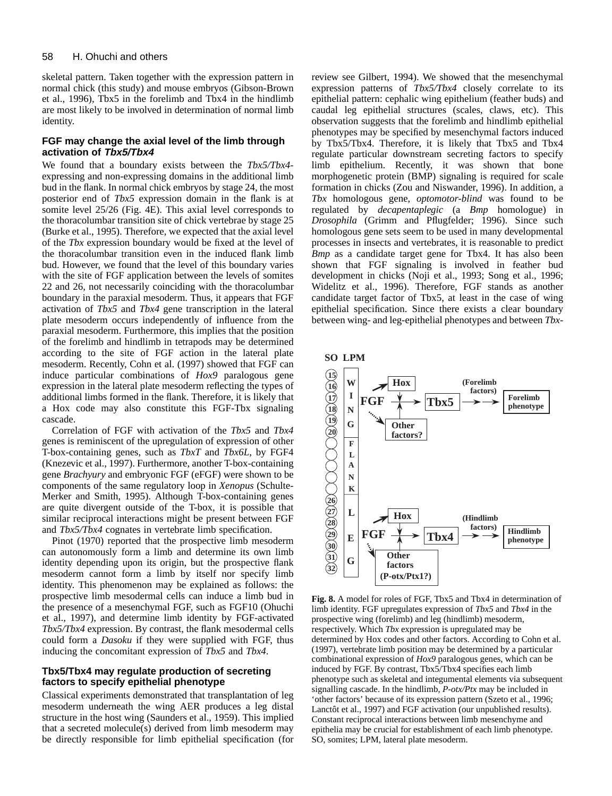skeletal pattern. Taken together with the expression pattern in normal chick (this study) and mouse embryos (Gibson-Brown et al., 1996), Tbx5 in the forelimb and Tbx4 in the hindlimb are most likely to be involved in determination of normal limb identity.

### **FGF may change the axial level of the limb through activation of Tbx5/Tbx4**

We found that a boundary exists between the *Tbx5/Tbx4* expressing and non-expressing domains in the additional limb bud in the flank. In normal chick embryos by stage 24, the most posterior end of *Tbx5* expression domain in the flank is at somite level 25/26 (Fig. 4E). This axial level corresponds to the thoracolumbar transition site of chick vertebrae by stage 25 (Burke et al., 1995). Therefore, we expected that the axial level of the *Tbx* expression boundary would be fixed at the level of the thoracolumbar transition even in the induced flank limb bud. However, we found that the level of this boundary varies with the site of FGF application between the levels of somites 22 and 26, not necessarily coinciding with the thoracolumbar boundary in the paraxial mesoderm. Thus, it appears that FGF activation of *Tbx5* and *Tbx4* gene transcription in the lateral plate mesoderm occurs independently of influence from the paraxial mesoderm. Furthermore, this implies that the position of the forelimb and hindlimb in tetrapods may be determined according to the site of FGF action in the lateral plate mesoderm. Recently, Cohn et al. (1997) showed that FGF can induce particular combinations of *Hox9* paralogous gene expression in the lateral plate mesoderm reflecting the types of additional limbs formed in the flank. Therefore, it is likely that a Hox code may also constitute this FGF-Tbx signaling cascade.

Correlation of FGF with activation of the *Tbx5* and *Tbx4* genes is reminiscent of the upregulation of expression of other T-box-containing genes, such as *TbxT* and *Tbx6L*, by FGF4 (Knezevic et al., 1997). Furthermore, another T-box-containing gene *Brachyury* and embryonic FGF (eFGF) were shown to be components of the same regulatory loop in *Xenopus* (Schulte-Merker and Smith, 1995). Although T-box-containing genes are quite divergent outside of the T-box, it is possible that similar reciprocal interactions might be present between FGF and *Tbx5/Tbx4* cognates in vertebrate limb specification.

Pinot (1970) reported that the prospective limb mesoderm can autonomously form a limb and determine its own limb identity depending upon its origin, but the prospective flank mesoderm cannot form a limb by itself nor specify limb identity. This phenomenon may be explained as follows: the prospective limb mesodermal cells can induce a limb bud in the presence of a mesenchymal FGF, such as FGF10 (Ohuchi et al., 1997), and determine limb identity by FGF-activated *Tbx5/Tbx4* expression. By contrast, the flank mesodermal cells could form a *Dasoku* if they were supplied with FGF, thus inducing the concomitant expression of *Tbx5* and *Tbx4*.

### **Tbx5/Tbx4 may regulate production of secreting factors to specify epithelial phenotype**

Classical experiments demonstrated that transplantation of leg mesoderm underneath the wing AER produces a leg distal structure in the host wing (Saunders et al., 1959). This implied that a secreted molecule(s) derived from limb mesoderm may be directly responsible for limb epithelial specification (for

review see Gilbert, 1994). We showed that the mesenchymal expression patterns of *Tbx5/Tbx4* closely correlate to its epithelial pattern: cephalic wing epithelium (feather buds) and caudal leg epithelial structures (scales, claws, etc). This observation suggests that the forelimb and hindlimb epithelial phenotypes may be specified by mesenchymal factors induced by Tbx5/Tbx4. Therefore, it is likely that Tbx5 and Tbx4 regulate particular downstream secreting factors to specify limb epithelium. Recently, it was shown that bone morphogenetic protein (BMP) signaling is required for scale formation in chicks (Zou and Niswander, 1996). In addition, a *Tbx* homologous gene, *optomotor-blind* was found to be regulated by *decapentaplegic* (a *Bmp* homologue) in *Drosophila* (Grimm and Pflugfelder; 1996). Since such homologous gene sets seem to be used in many developmental processes in insects and vertebrates, it is reasonable to predict *Bmp* as a candidate target gene for Tbx4. It has also been shown that FGF signaling is involved in feather bud development in chicks (Noji et al., 1993; Song et al., 1996; Widelitz et al., 1996). Therefore, FGF stands as another candidate target factor of Tbx5, at least in the case of wing epithelial specification. Since there exists a clear boundary between wing- and leg-epithelial phenotypes and between *Tbx*-



**Fig. 8.** A model for roles of FGF, Tbx5 and Tbx4 in determination of limb identity. FGF upregulates expression of *Tbx5* and *Tbx4* in the prospective wing (forelimb) and leg (hindlimb) mesoderm, respectively. Which *Tbx* expression is upregulated may be determined by Hox codes and other factors. According to Cohn et al. (1997), vertebrate limb position may be determined by a particular combinational expression of *Hox9* paralogous genes, which can be induced by FGF. By contrast, Tbx5/Tbx4 specifies each limb phenotype such as skeletal and integumental elements via subsequent signalling cascade. In the hindlimb, *P-otx/Ptx* may be included in 'other factors' because of its expression pattern (Szeto et al., 1996; Lanctôt et al., 1997) and FGF activation (our unpublished results). Constant reciprocal interactions between limb mesenchyme and epithelia may be crucial for establishment of each limb phenotype. SO, somites; LPM, lateral plate mesoderm.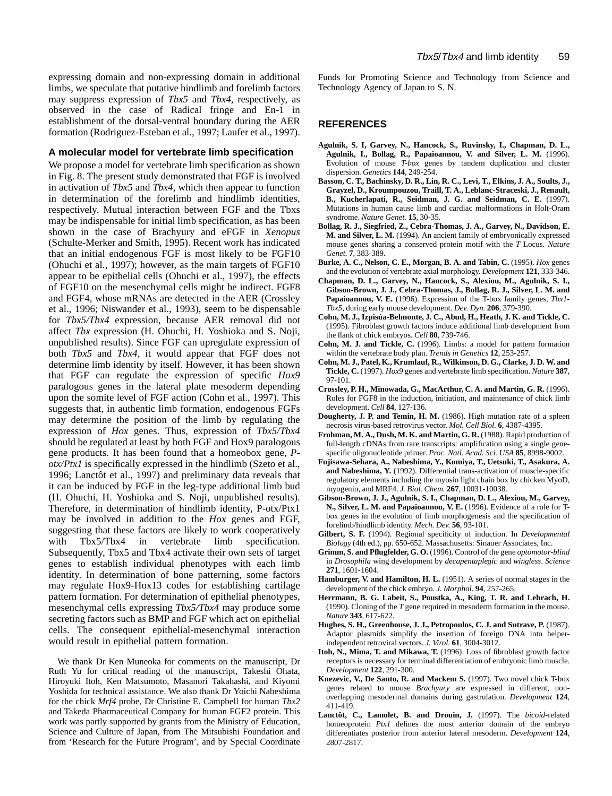expressing domain and non-expressing domain in additional limbs, we speculate that putative hindlimb and forelimb factors may suppress expression of *Tbx5* and *Tbx4*, respectively, as observed in the case of Radical fringe and En-1 in establishment of the dorsal-ventral boundary during the AER formation (Rodriguez-Esteban et al., 1997; Laufer et al., 1997).

#### **A molecular model for vertebrate limb specification**

We propose a model for vertebrate limb specification as shown in Fig. 8. The present study demonstrated that FGF is involved in activation of *Tbx5* and *Tbx4*, which then appear to function in determination of the forelimb and hindlimb identities, respectively. Mutual interaction between FGF and the Tbxs may be indispensable for initial limb specification, as has been shown in the case of Brachyury and eFGF in *Xenopus* (Schulte-Merker and Smith, 1995). Recent work has indicated that an initial endogenous FGF is most likely to be FGF10 (Ohuchi et al., 1997); however, as the main targets of FGF10 appear to be epithelial cells (Ohuchi et al., 1997), the effects of FGF10 on the mesenchymal cells might be indirect. FGF8 and FGF4, whose mRNAs are detected in the AER (Crossley et al., 1996; Niswander et al., 1993), seem to be dispensable for *Tbx5/Tbx4* expression, because AER removal did not affect *Tbx* expression (H. Ohuchi, H. Yoshioka and S. Noji, unpublished results). Since FGF can upregulate expression of both *Tbx5* and *Tbx4*, it would appear that FGF does not determine limb identity by itself. However, it has been shown that FGF can regulate the expression of specific *Hox9* paralogous genes in the lateral plate mesoderm depending upon the somite level of FGF action (Cohn et al., 1997). This suggests that, in authentic limb formation, endogenous FGFs may determine the position of the limb by regulating the expression of *Hox* genes. Thus, expression of *Tbx5/Tbx4* should be regulated at least by both FGF and Hox9 paralogous gene products. It has been found that a homeobox gene, *Potx/Ptx1* is specifically expressed in the hindlimb (Szeto et al., 1996; Lanctôt et al., 1997) and preliminary data reveals that it can be induced by FGF in the leg-type additional limb bud (H. Ohuchi, H. Yoshioka and S. Noji, unpublished results). Therefore, in determination of hindlimb identity, P-otx/Ptx1 may be involved in addition to the *Hox* genes and FGF, suggesting that these factors are likely to work cooperatively with Tbx5/Tbx4 in vertebrate limb specification. Subsequently, Tbx5 and Tbx4 activate their own sets of target genes to establish individual phenotypes with each limb identity. In determination of bone patterning, some factors may regulate Hox9-Hox13 codes for establishing cartilage pattern formation. For determination of epithelial phenotypes, mesenchymal cells expressing *Tbx5/Tbx4* may produce some secreting factors such as BMP and FGF which act on epithelial cells. The consequent epithelial-mesenchymal interaction would result in epithelial pattern formation.

We thank Dr Ken Muneoka for comments on the manuscript, Dr Ruth Yu for critical reading of the manuscript, Takeshi Ohata, Hiroyuki Itoh, Ken Matsumoto, Masanori Takahashi, and Kiyomi Yoshida for technical assistance. We also thank Dr Yoichi Nabeshima for the chick *Mrf4* probe, Dr Christine E. Campbell for human *Tbx2* and Takeda Pharmaceutical Company for human FGF2 protein. This work was partly supported by grants from the Ministry of Education, Science and Culture of Japan, from The Mitsubishi Foundation and from 'Research for the Future Program', and by Special Coordinate Funds for Promoting Science and Technology from Science and Technology Agency of Japan to S. N.

#### **REFERENCES**

- **Agulnik, S. I, Garvey, N., Hancock, S., Ruvinsky, I., Chapman, D. L., Agulnik, I., Bollag, R., Papaioannou, V. and Silver, L. M.** (1996). Evolution of mouse *T-box* genes by tandem duplication and cluster dispersion. *Genetics* **144**, 249-254.
- **Basson, C. T., Bachinsky, D. R., Lin, R. C., Levi, T., Elkins, J. A., Soults, J., Grayzel, D., Kroumpouzou, Traill, T. A., Leblanc-Straceski, J., Renault, B., Kucherlapati, R., Seidman, J. G. and Seidman, C. E.** (1997). Mutations in human cause limb and cardiac malformations in Holt-Oram syndrome. *Nature Genet.* **15**, 30-35.
- **Bollag, R. J., Siegfried, Z., Cebra-Thomas, J. A., Garvey, N., Davidson, E. M. and Silver, L. M.** (1994). An ancient family of embryonically expressed mouse genes sharing a conserved protein motif with the *T* Locus. *Nature Genet.* **7**, 383-389.
- **Burke, A. C., Nelson, C. E., Morgan, B. A. and Tabin, C.** (1995). *Hox* genes and the evolution of vertebrate axial morphology. *Development* **121**, 333-346.
- **Chapman, D. L., Garvey, N., Hancock, S., Alexiou, M., Agulnik, S. I., Gibson-Brown, J. J., Cebra-Thomas, J., Bollag, R. J., Silver, L. M. and Papaioannou, V. E.** (1996). Expression of the T-box family genes, *Tbx1- Tbx5*, during early mouse development. *Dev. Dyn.* **206**, 379-390.
- **Cohn, M. J., Izpisúa-Belmonte, J. C., Abud, H., Heath, J. K. and Tickle, C.** (1995). Fibroblast growth factors induce additional limb development from the flank of chick embryos. *Cell* **80**, 739-746.
- **Cohn, M. J. and Tickle, C.** (1996). Limbs: a model for pattern formation within the vertebrate body plan. *Trends in Genetics* **12**, 253-257.
- **Cohn, M. J., Patel, K., Krumlauf, R., Wilkinson, D. G., Clarke, J. D. W. and Tickle, C.** (1997). *Hox9* genes and vertebrate limb specification. *Nature* **387**, 97-101.
- **Crossley, P. H., Minowada, G., MacArthur, C. A. and Martin, G. R.** (1996). Roles for FGF8 in the induction, initiation, and maintenance of chick limb development. *Cell* **84**, 127-136.
- **Dougherty, J. P. and Temin, H. M.** (1986). High mutation rate of a spleen necrosis virus-based retrovirus vector. *Mol. Cell Biol.* **6**, 4387-4395.
- **Frohman, M. A., Dush, M. K. and Martin, G. R.** (1988). Rapid production of full-length cDNAs from rare transcripts: amplification using a single genespecific oligonucleotide primer. *Proc. Natl. Acad. Sci. USA* **85**, 8998-9002.
- **Fujisawa-Sehara, A., Nabeshima, Y., Komiya, T., Uetsuki, T., Asakura, A. and Nabeshima, Y.** (1992). Differential trans-activation of muscle-specific regulatory elements including the myosin light chain box by chicken MyoD, myogenin, and MRF4. *J. Biol. Chem.* **267**, 10031-10038.
- **Gibson-Brown, J. J., Agulnik, S. I., Chapman, D. L., Alexiou, M., Garvey, N., Silver, L. M. and Papaioannou, V. E.** (1996). Evidence of a role for Tbox genes in the evolution of limb morphogenesis and the specification of forelimb/hindlimb identity. *Mech. Dev.* **56**, 93-101.
- **Gilbert, S. F.** (1994). Regional specificity of induction. In *Developmental Biology* (4th ed.), pp. 650-652. Massachusetts: Sinauer Associates, Inc.
- **Grimm, S. and Pflugfelder, G. O.** (1996). Control of the gene *optomotor-blind* in *Drosophila* wing development by *decapentaplegic* and *wingless*. *Science* **271**, 1601-1604.
- **Hamburger, V. and Hamilton, H. L.** (1951). A series of normal stages in the development of the chick embryo. *J. Morphol.* **94**, 257-265.
- **Herrmann, B. G. Labeit, S., Poustka, A., King, T. R. and Lehrach, H.** (1990). Cloning of the *T* gene required in mesoderm formation in the mouse. *Nature* **343**, 617-622.
- **Hughes, S. H., Greenhouse, J. J., Petropoulos, C. J. and Sutrave, P.** (1987). Adaptor plasmids simplify the insertion of foreign DNA into helperindependent retroviral vectors. *J. Virol.* **61**, 3004-3012.
- **Itoh, N., Mima, T. and Mikawa, T.** (1996). Loss of fibroblast growth factor receptors is necessary for terminal differentiation of embryonic limb muscle. *Development* **122**, 291-300.
- Knezevic, V., De Santo, R. and Mackem S. (1997). Two novel chick T-box genes related to mouse *Brachyury* are expressed in different, nonoverlapping mesodermal domains during gastrulation. *Development* **124**, 411-419.
- **Lanctôt, C., Lamolet, B. and Drouin, J.** (1997). The *bicoid*-related homeoprotein *Ptx1* defines the most anterior domain of the embryo differentiates posterior from anterior lateral mesoderm. *Development* **124**, 2807-2817.